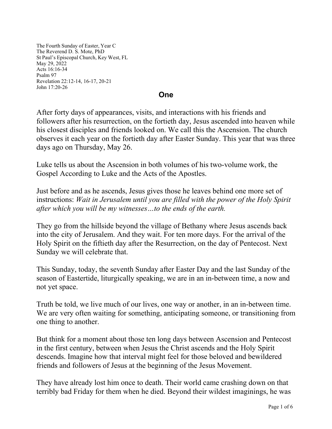The Fourth Sunday of Easter, Year C The Reverend D. S. Mote, PhD St Paul's Episcopal Church, Key West, FL May 29, 2022 Acts 16:16-34 Psalm 97 Revelation 22:12-14, 16-17, 20-21 John 17:20-26

## **One**

After forty days of appearances, visits, and interactions with his friends and followers after his resurrection, on the fortieth day, Jesus ascended into heaven while his closest disciples and friends looked on. We call this the Ascension. The church observes it each year on the fortieth day after Easter Sunday. This year that was three days ago on Thursday, May 26.

Luke tells us about the Ascension in both volumes of his two-volume work, the Gospel According to Luke and the Acts of the Apostles.

Just before and as he ascends, Jesus gives those he leaves behind one more set of instructions: *Wait in Jerusalem until you are filled with the power of the Holy Spirit after which you will be my witnesses…to the ends of the earth.*

They go from the hillside beyond the village of Bethany where Jesus ascends back into the city of Jerusalem. And they wait. For ten more days. For the arrival of the Holy Spirit on the fiftieth day after the Resurrection, on the day of Pentecost. Next Sunday we will celebrate that.

This Sunday, today, the seventh Sunday after Easter Day and the last Sunday of the season of Eastertide, liturgically speaking, we are in an in-between time, a now and not yet space.

Truth be told, we live much of our lives, one way or another, in an in-between time. We are very often waiting for something, anticipating someone, or transitioning from one thing to another.

But think for a moment about those ten long days between Ascension and Pentecost in the first century, between when Jesus the Christ ascends and the Holy Spirit descends. Imagine how that interval might feel for those beloved and bewildered friends and followers of Jesus at the beginning of the Jesus Movement.

They have already lost him once to death. Their world came crashing down on that terribly bad Friday for them when he died. Beyond their wildest imaginings, he was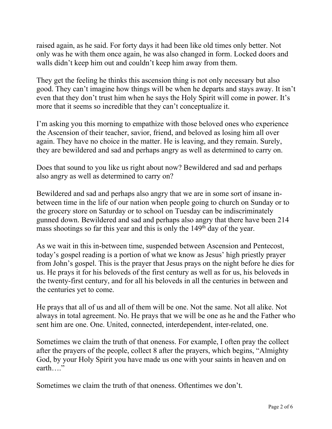raised again, as he said. For forty days it had been like old times only better. Not only was he with them once again, he was also changed in form. Locked doors and walls didn't keep him out and couldn't keep him away from them.

They get the feeling he thinks this ascension thing is not only necessary but also good. They can't imagine how things will be when he departs and stays away. It isn't even that they don't trust him when he says the Holy Spirit will come in power. It's more that it seems so incredible that they can't conceptualize it.

I'm asking you this morning to empathize with those beloved ones who experience the Ascension of their teacher, savior, friend, and beloved as losing him all over again. They have no choice in the matter. He is leaving, and they remain. Surely, they are bewildered and sad and perhaps angry as well as determined to carry on.

Does that sound to you like us right about now? Bewildered and sad and perhaps also angry as well as determined to carry on?

Bewildered and sad and perhaps also angry that we are in some sort of insane inbetween time in the life of our nation when people going to church on Sunday or to the grocery store on Saturday or to school on Tuesday can be indiscriminately gunned down. Bewildered and sad and perhaps also angry that there have been 214 mass shootings so far this year and this is only the 149<sup>th</sup> day of the year.

As we wait in this in-between time, suspended between Ascension and Pentecost, today's gospel reading is a portion of what we know as Jesus' high priestly prayer from John's gospel. This is the prayer that Jesus prays on the night before he dies for us. He prays it for his beloveds of the first century as well as for us, his beloveds in the twenty-first century, and for all his beloveds in all the centuries in between and the centuries yet to come.

He prays that all of us and all of them will be one. Not the same. Not all alike. Not always in total agreement. No. He prays that we will be one as he and the Father who sent him are one. One. United, connected, interdependent, inter-related, one.

Sometimes we claim the truth of that oneness. For example, I often pray the collect after the prayers of the people, collect 8 after the prayers, which begins, "Almighty God, by your Holy Spirit you have made us one with your saints in heaven and on earth…."

Sometimes we claim the truth of that oneness. Oftentimes we don't.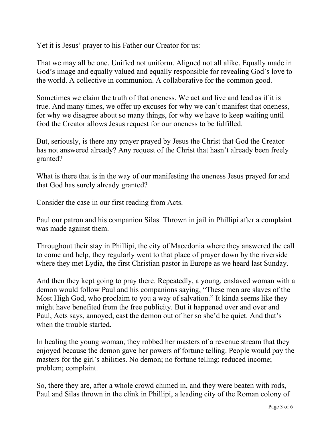Yet it is Jesus' prayer to his Father our Creator for us:

That we may all be one. Unified not uniform. Aligned not all alike. Equally made in God's image and equally valued and equally responsible for revealing God's love to the world. A collective in communion. A collaborative for the common good.

Sometimes we claim the truth of that oneness. We act and live and lead as if it is true. And many times, we offer up excuses for why we can't manifest that oneness, for why we disagree about so many things, for why we have to keep waiting until God the Creator allows Jesus request for our oneness to be fulfilled.

But, seriously, is there any prayer prayed by Jesus the Christ that God the Creator has not answered already? Any request of the Christ that hasn't already been freely granted?

What is there that is in the way of our manifesting the oneness Jesus prayed for and that God has surely already granted?

Consider the case in our first reading from Acts.

Paul our patron and his companion Silas. Thrown in jail in Phillipi after a complaint was made against them.

Throughout their stay in Phillipi, the city of Macedonia where they answered the call to come and help, they regularly went to that place of prayer down by the riverside where they met Lydia, the first Christian pastor in Europe as we heard last Sunday.

And then they kept going to pray there. Repeatedly, a young, enslaved woman with a demon would follow Paul and his companions saying, "These men are slaves of the Most High God, who proclaim to you a way of salvation." It kinda seems like they might have benefited from the free publicity. But it happened over and over and Paul, Acts says, annoyed, cast the demon out of her so she'd be quiet. And that's when the trouble started.

In healing the young woman, they robbed her masters of a revenue stream that they enjoyed because the demon gave her powers of fortune telling. People would pay the masters for the girl's abilities. No demon; no fortune telling; reduced income; problem; complaint.

So, there they are, after a whole crowd chimed in, and they were beaten with rods, Paul and Silas thrown in the clink in Phillipi, a leading city of the Roman colony of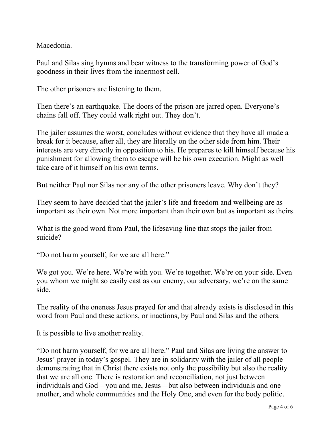Macedonia.

Paul and Silas sing hymns and bear witness to the transforming power of God's goodness in their lives from the innermost cell.

The other prisoners are listening to them.

Then there's an earthquake. The doors of the prison are jarred open. Everyone's chains fall off. They could walk right out. They don't.

The jailer assumes the worst, concludes without evidence that they have all made a break for it because, after all, they are literally on the other side from him. Their interests are very directly in opposition to his. He prepares to kill himself because his punishment for allowing them to escape will be his own execution. Might as well take care of it himself on his own terms.

But neither Paul nor Silas nor any of the other prisoners leave. Why don't they?

They seem to have decided that the jailer's life and freedom and wellbeing are as important as their own. Not more important than their own but as important as theirs.

What is the good word from Paul, the lifesaving line that stops the jailer from suicide?

"Do not harm yourself, for we are all here."

We got you. We're here. We're with you. We're together. We're on your side. Even you whom we might so easily cast as our enemy, our adversary, we're on the same side.

The reality of the oneness Jesus prayed for and that already exists is disclosed in this word from Paul and these actions, or inactions, by Paul and Silas and the others.

It is possible to live another reality.

"Do not harm yourself, for we are all here." Paul and Silas are living the answer to Jesus' prayer in today's gospel. They are in solidarity with the jailer of all people demonstrating that in Christ there exists not only the possibility but also the reality that we are all one. There is restoration and reconciliation, not just between individuals and God—you and me, Jesus—but also between individuals and one another, and whole communities and the Holy One, and even for the body politic.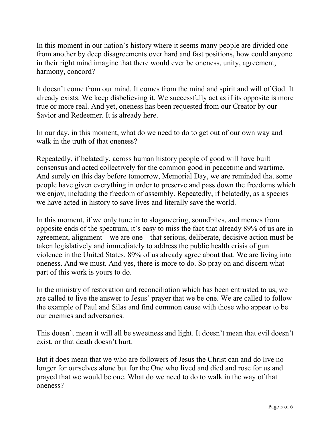In this moment in our nation's history where it seems many people are divided one from another by deep disagreements over hard and fast positions, how could anyone in their right mind imagine that there would ever be oneness, unity, agreement, harmony, concord?

It doesn't come from our mind. It comes from the mind and spirit and will of God. It already exists. We keep disbelieving it. We successfully act as if its opposite is more true or more real. And yet, oneness has been requested from our Creator by our Savior and Redeemer. It is already here.

In our day, in this moment, what do we need to do to get out of our own way and walk in the truth of that oneness?

Repeatedly, if belatedly, across human history people of good will have built consensus and acted collectively for the common good in peacetime and wartime. And surely on this day before tomorrow, Memorial Day, we are reminded that some people have given everything in order to preserve and pass down the freedoms which we enjoy, including the freedom of assembly. Repeatedly, if belatedly, as a species we have acted in history to save lives and literally save the world.

In this moment, if we only tune in to sloganeering, soundbites, and memes from opposite ends of the spectrum, it's easy to miss the fact that already 89% of us are in agreement, alignment—we are one—that serious, deliberate, decisive action must be taken legislatively and immediately to address the public health crisis of gun violence in the United States. 89% of us already agree about that. We are living into oneness. And we must. And yes, there is more to do. So pray on and discern what part of this work is yours to do.

In the ministry of restoration and reconciliation which has been entrusted to us, we are called to live the answer to Jesus' prayer that we be one. We are called to follow the example of Paul and Silas and find common cause with those who appear to be our enemies and adversaries.

This doesn't mean it will all be sweetness and light. It doesn't mean that evil doesn't exist, or that death doesn't hurt.

But it does mean that we who are followers of Jesus the Christ can and do live no longer for ourselves alone but for the One who lived and died and rose for us and prayed that we would be one. What do we need to do to walk in the way of that oneness?